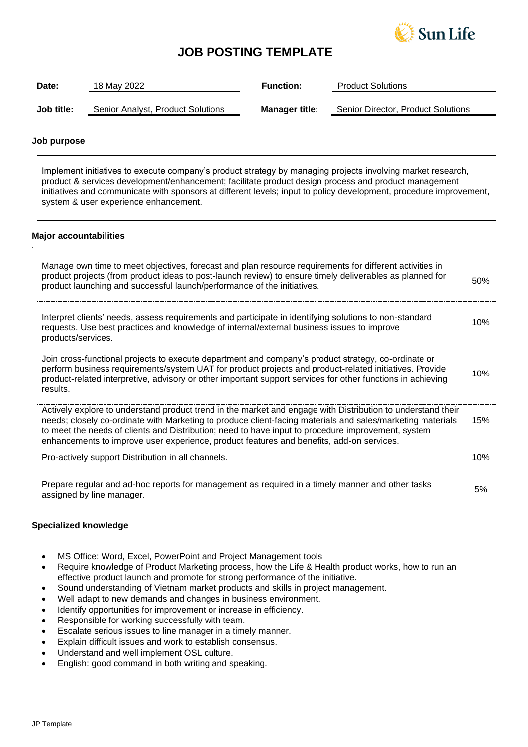

# **JOB POSTING TEMPLATE**

| Date:      | 18 May 2022                       | <b>Function:</b>      | <b>Product Solutions</b>           |
|------------|-----------------------------------|-----------------------|------------------------------------|
| Job title: | Senior Analyst, Product Solutions | <b>Manager title:</b> | Senior Director, Product Solutions |

## **Job purpose**

*.*

Implement initiatives to execute company's product strategy by managing projects involving market research, product & services development/enhancement; facilitate product design process and product management initiatives and communicate with sponsors at different levels; input to policy development, procedure improvement, system & user experience enhancement.

# **Major accountabilities**

| Manage own time to meet objectives, forecast and plan resource requirements for different activities in<br>product projects (from product ideas to post-launch review) to ensure timely deliverables as planned for<br>product launching and successful launch/performance of the initiatives.                                                                                                                              | 50% |
|-----------------------------------------------------------------------------------------------------------------------------------------------------------------------------------------------------------------------------------------------------------------------------------------------------------------------------------------------------------------------------------------------------------------------------|-----|
| Interpret clients' needs, assess requirements and participate in identifying solutions to non-standard<br>requests. Use best practices and knowledge of internal/external business issues to improve<br>products/services.                                                                                                                                                                                                  | 10% |
| Join cross-functional projects to execute department and company's product strategy, co-ordinate or<br>perform business requirements/system UAT for product projects and product-related initiatives. Provide<br>product-related interpretive, advisory or other important support services for other functions in achieving<br>results.                                                                                    | 10% |
| Actively explore to understand product trend in the market and engage with Distribution to understand their<br>needs; closely co-ordinate with Marketing to produce client-facing materials and sales/marketing materials<br>to meet the needs of clients and Distribution; need to have input to procedure improvement, system<br>enhancements to improve user experience, product features and benefits, add-on services. | 15% |
| Pro-actively support Distribution in all channels.                                                                                                                                                                                                                                                                                                                                                                          | 10% |
| Prepare regular and ad-hoc reports for management as required in a timely manner and other tasks<br>assigned by line manager.                                                                                                                                                                                                                                                                                               | 5%  |

# **Specialized knowledge**

- MS Office: Word, Excel, PowerPoint and Project Management tools
- Require knowledge of Product Marketing process, how the Life & Health product works, how to run an effective product launch and promote for strong performance of the initiative.
- Sound understanding of Vietnam market products and skills in project management.
- Well adapt to new demands and changes in business environment.
- Identify opportunities for improvement or increase in efficiency.
- Responsible for working successfully with team.
- Escalate serious issues to line manager in a timely manner.
- Explain difficult issues and work to establish consensus.
- Understand and well implement OSL culture.
- English: good command in both writing and speaking.